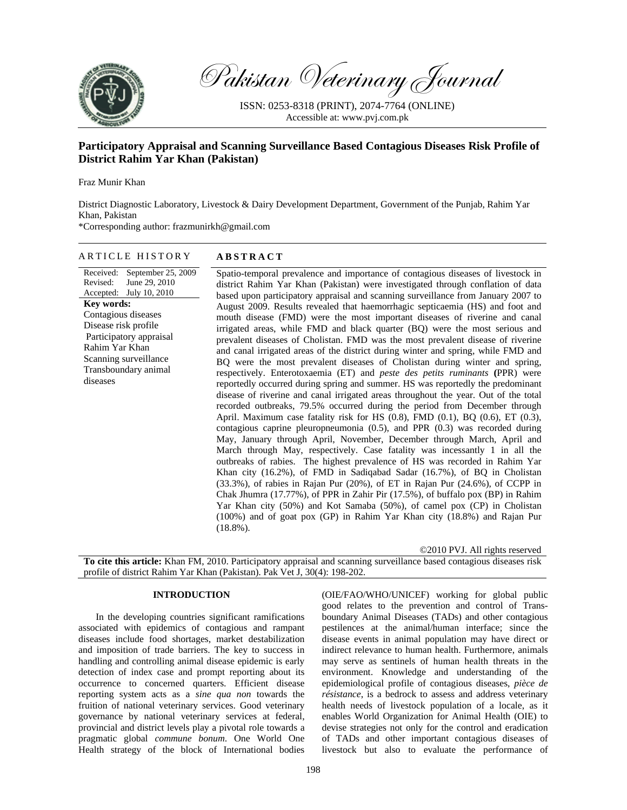

Pakistan Veterinary Journal

ISSN: 0253-8318 (PRINT), 2074-7764 (ONLINE) Accessible at: www.pvj.com.pk

# **Participatory Appraisal and Scanning Surveillance Based Contagious Diseases Risk Profile of District Rahim Yar Khan (Pakistan)**

Fraz Munir Khan

District Diagnostic Laboratory, Livestock & Dairy Development Department, Government of the Punjab, Rahim Yar Khan, Pakistan

\*Corresponding author: frazmunirkh@gmail.com

## ARTICLE HISTORY **ABSTRACT**

#### Received: September 25, 2009 Revised: Accepted: July 10, 2010 June 29, 2010 **Key words:**  Contagious diseases Disease risk profile Participatory appraisal Rahim Yar Khan Scanning surveillance Transboundary animal diseases

Spatio-temporal prevalence and importance of contagious diseases of livestock in

district Rahim Yar Khan (Pakistan) were investigated through conflation of data based upon participatory appraisal and scanning surveillance from January 2007 to August 2009. Results revealed that haemorrhagic septicaemia (HS) and foot and mouth disease (FMD) were the most important diseases of riverine and canal irrigated areas, while FMD and black quarter (BQ) were the most serious and prevalent diseases of Cholistan. FMD was the most prevalent disease of riverine and canal irrigated areas of the district during winter and spring, while FMD and BQ were the most prevalent diseases of Cholistan during winter and spring, respectively. Enterotoxaemia (ET) and *peste des petits ruminants* **(**PPR) were reportedly occurred during spring and summer. HS was reportedly the predominant disease of riverine and canal irrigated areas throughout the year. Out of the total recorded outbreaks, 79.5% occurred during the period from December through April. Maximum case fatality risk for HS (0.8), FMD (0.1), BQ (0.6), ET (0.3), contagious caprine pleuropneumonia (0.5), and PPR (0.3) was recorded during May, January through April, November, December through March, April and March through May, respectively. Case fatality was incessantly 1 in all the outbreaks of rabies. The highest prevalence of HS was recorded in Rahim Yar Khan city (16.2%), of FMD in Sadiqabad Sadar (16.7%), of BQ in Cholistan (33.3%), of rabies in Rajan Pur (20%), of ET in Rajan Pur (24.6%), of CCPP in Chak Jhumra (17.77%), of PPR in Zahir Pir (17.5%), of buffalo pox (BP) in Rahim Yar Khan city (50%) and Kot Samaba (50%), of camel pox (CP) in Cholistan (100%) and of goat pox (GP) in Rahim Yar Khan city (18.8%) and Rajan Pur  $(18.8\%)$ .

©2010 PVJ. All rights reserved

**To cite this article:** Khan FM, 2010. Participatory appraisal and scanning surveillance based contagious diseases risk profile of district Rahim Yar Khan (Pakistan). Pak Vet J, 30(4): 198-202.

#### **INTRODUCTION**

In the developing countries significant ramifications associated with epidemics of contagious and rampant diseases include food shortages, market destabilization and imposition of trade barriers. The key to success in handling and controlling animal disease epidemic is early detection of index case and prompt reporting about its occurrence to concerned quarters. Efficient disease reporting system acts as a *sine qua non* towards the fruition of national veterinary services. Good veterinary governance by national veterinary services at federal, provincial and district levels play a pivotal role towards a pragmatic global *commune bonum*. One World One Health strategy of the block of International bodies

(OIE/FAO/WHO/UNICEF) working for global public good relates to the prevention and control of Transboundary Animal Diseases (TADs) and other contagious pestilences at the animal/human interface; since the disease events in animal population may have direct or indirect relevance to human health. Furthermore, animals may serve as sentinels of human health threats in the environment. Knowledge and understanding of the epidemiological profile of contagious diseases, *pièce de résistance*, is a bedrock to assess and address veterinary health needs of livestock population of a locale, as it enables World Organization for Animal Health (OIE) to devise strategies not only for the control and eradication of TADs and other important contagious diseases of livestock but also to evaluate the performance of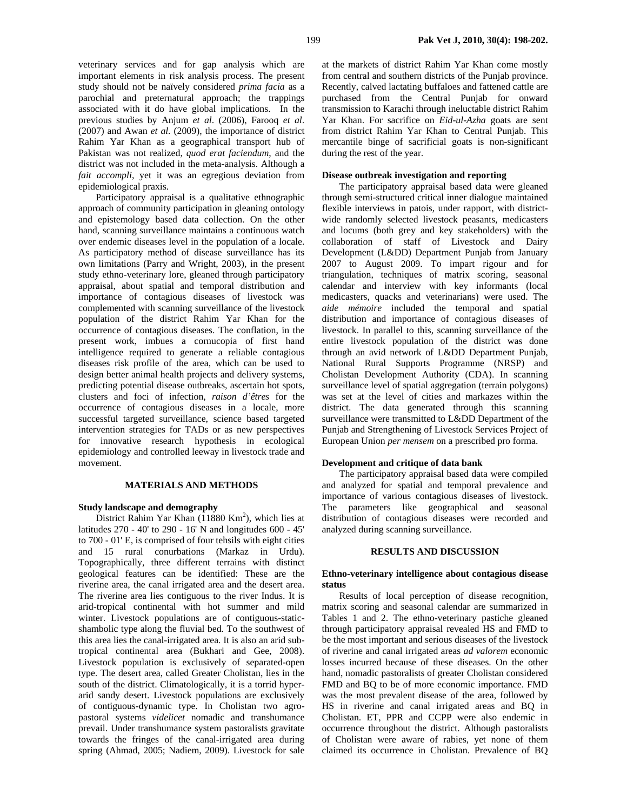veterinary services and for gap analysis which are important elements in risk analysis process. The present study should not be naïvely considered *prima facia* as a parochial and preternatural approach; the trappings associated with it do have global implications. In the previous studies by Anjum *et al*. (2006), Farooq *et al*. (2007) and Awan *et al.* (2009), the importance of district Rahim Yar Khan as a geographical transport hub of Pakistan was not realized, *quod erat faciendum*, and the district was not included in the meta-analysis. Although a *fait accompli*, yet it was an egregious deviation from epidemiological praxis.

Participatory appraisal is a qualitative ethnographic approach of community participation in gleaning ontology and epistemology based data collection. On the other hand, scanning surveillance maintains a continuous watch over endemic diseases level in the population of a locale. As participatory method of disease surveillance has its own limitations (Parry and Wright, 2003), in the present study ethno-veterinary lore, gleaned through participatory appraisal, about spatial and temporal distribution and importance of contagious diseases of livestock was complemented with scanning surveillance of the livestock population of the district Rahim Yar Khan for the occurrence of contagious diseases. The conflation, in the present work, imbues a cornucopia of first hand intelligence required to generate a reliable contagious diseases risk profile of the area, which can be used to design better animal health projects and delivery systems, predicting potential disease outbreaks, ascertain hot spots, clusters and foci of infection, *raison d'êtres* for the occurrence of contagious diseases in a locale, more successful targeted surveillance, science based targeted intervention strategies for TADs or as new perspectives for innovative research hypothesis in ecological epidemiology and controlled leeway in livestock trade and movement.

#### **MATERIALS AND METHODS**

#### **Study landscape and demography**

District Rahim Yar Khan  $(11880 \text{ Km}^2)$ , which lies at latitudes 270 - 40' to 290 - 16' N and longitudes 600 - 45' to 700 - 01' E, is comprised of four tehsils with eight cities and 15 rural conurbations (Markaz in Urdu). Topographically, three different terrains with distinct geological features can be identified: These are the riverine area, the canal irrigated area and the desert area. The riverine area lies contiguous to the river Indus. It is arid-tropical continental with hot summer and mild winter. Livestock populations are of contiguous-staticshambolic type along the fluvial bed. To the southwest of this area lies the canal-irrigated area. It is also an arid subtropical continental area (Bukhari and Gee, 2008). Livestock population is exclusively of separated-open type. The desert area, called Greater Cholistan, lies in the south of the district. Climatologically, it is a torrid hyperarid sandy desert. Livestock populations are exclusively of contiguous-dynamic type. In Cholistan two agropastoral systems *videlicet* nomadic and transhumance prevail. Under transhumance system pastoralists gravitate towards the fringes of the canal-irrigated area during spring (Ahmad, 2005; Nadiem, 2009). Livestock for sale

at the markets of district Rahim Yar Khan come mostly from central and southern districts of the Punjab province. Recently, calved lactating buffaloes and fattened cattle are purchased from the Central Punjab for onward transmission to Karachi through ineluctable district Rahim Yar Khan. For sacrifice on *Eid-ul-Azha* goats are sent from district Rahim Yar Khan to Central Punjab. This mercantile binge of sacrificial goats is non-significant during the rest of the year.

#### **Disease outbreak investigation and reporting**

The participatory appraisal based data were gleaned through semi-structured critical inner dialogue maintained flexible interviews in patois, under rapport, with districtwide randomly selected livestock peasants, medicasters and locums (both grey and key stakeholders) with the collaboration of staff of Livestock and Dairy Development (L&DD) Department Punjab from January 2007 to August 2009. To impart rigour and for triangulation, techniques of matrix scoring, seasonal calendar and interview with key informants (local medicasters, quacks and veterinarians) were used. The *aide mémoire* included the temporal and spatial distribution and importance of contagious diseases of livestock. In parallel to this, scanning surveillance of the entire livestock population of the district was done through an avid network of L&DD Department Punjab, National Rural Supports Programme (NRSP) and Cholistan Development Authority (CDA). In scanning surveillance level of spatial aggregation (terrain polygons) was set at the level of cities and markazes within the district. The data generated through this scanning surveillance were transmitted to L&DD Department of the Punjab and Strengthening of Livestock Services Project of European Union *per mensem* on a prescribed pro forma.

#### **Development and critique of data bank**

The participatory appraisal based data were compiled and analyzed for spatial and temporal prevalence and importance of various contagious diseases of livestock. The parameters like geographical and seasonal distribution of contagious diseases were recorded and analyzed during scanning surveillance.

# **RESULTS AND DISCUSSION**

#### **Ethno-veterinary intelligence about contagious disease status**

Results of local perception of disease recognition, matrix scoring and seasonal calendar are summarized in Tables 1 and 2. The ethno-veterinary pastiche gleaned through participatory appraisal revealed HS and FMD to be the most important and serious diseases of the livestock of riverine and canal irrigated areas *ad valorem* economic losses incurred because of these diseases. On the other hand, nomadic pastoralists of greater Cholistan considered FMD and BQ to be of more economic importance. FMD was the most prevalent disease of the area, followed by HS in riverine and canal irrigated areas and BQ in Cholistan. ET, PPR and CCPP were also endemic in occurrence throughout the district. Although pastoralists of Cholistan were aware of rabies, yet none of them claimed its occurrence in Cholistan. Prevalence of BQ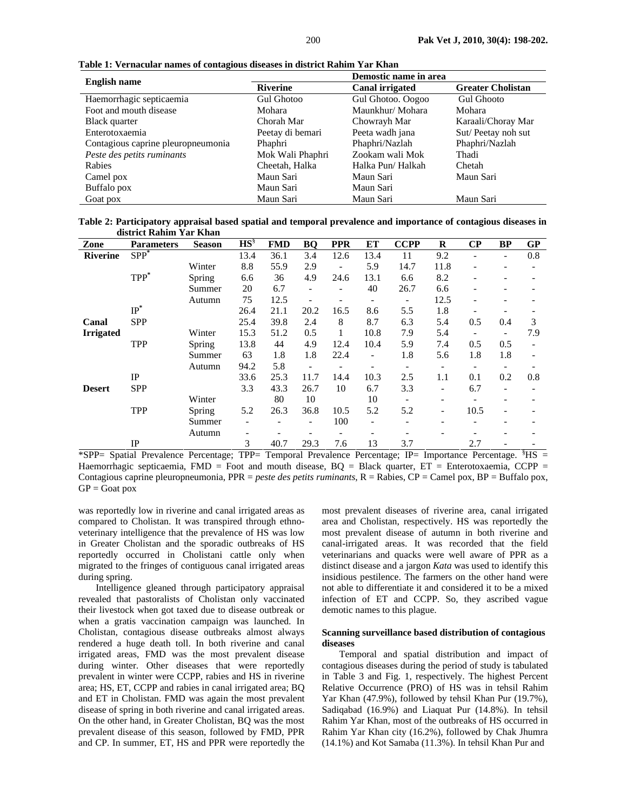| <b>English name</b>                | Demostic name in area |                        |                          |  |  |  |
|------------------------------------|-----------------------|------------------------|--------------------------|--|--|--|
|                                    | Riverine              | <b>Canal irrigated</b> | <b>Greater Cholistan</b> |  |  |  |
| Haemorrhagic septicaemia           | <b>Gul Ghotoo</b>     | Gul Ghotoo. Oogoo      | <b>Gul Ghooto</b>        |  |  |  |
| Foot and mouth disease             | Mohara                | Maunkhur/Mohara        | Mohara                   |  |  |  |
| Black quarter                      | Chorah Mar            | Chowrayh Mar           | Karaali/Choray Mar       |  |  |  |
| Enterotoxaemia                     | Peetay di bemari      | Peeta wadh jana        | Sut/Peetay noh sut       |  |  |  |
| Contagious caprine pleuropneumonia | Phaphri               | Phaphri/Nazlah         | Phaphri/Nazlah           |  |  |  |
| Peste des petits ruminants         | Mok Wali Phaphri      | Zookam wali Mok        | Thadi                    |  |  |  |
| Rabies                             | Cheetah, Halka        | Halka Pun/Halkah       | Chetah                   |  |  |  |
| Camel pox                          | Maun Sari             | Maun Sari              | Maun Sari                |  |  |  |
| Buffalo pox                        | Maun Sari             | Maun Sari              |                          |  |  |  |
| Goat pox                           | Maun Sari             | Maun Sari              | Maun Sari                |  |  |  |

**Table 1: Vernacular names of contagious diseases in district Rahim Yar Khan** 

**Table 2: Participatory appraisal based spatial and temporal prevalence and importance of contagious diseases in district Rahim Yar Khan** 

| Zone             | <b>Parameters</b> | <b>Season</b> | $HS^{\S}$ | <b>FMD</b> | BQ   | <b>PPR</b>     | EТ                       | <b>CCPP</b>              | R                        | $\bf CP$ | BP                       | GP  |
|------------------|-------------------|---------------|-----------|------------|------|----------------|--------------------------|--------------------------|--------------------------|----------|--------------------------|-----|
| <b>Riverine</b>  | $SPP^*$           |               | 13.4      | 36.1       | 3.4  | 12.6           | 13.4                     | 11                       | 9.2                      | ۰        | $\overline{\phantom{a}}$ | 0.8 |
|                  |                   | Winter        | 8.8       | 55.9       | 2.9  | $\overline{a}$ | 5.9                      | 14.7                     | 11.8                     | ۰        | ۰                        |     |
|                  | $TPP^*$           | Spring        | 6.6       | 36         | 4.9  | 24.6           | 13.1                     | 6.6                      | 8.2                      | ۰        | $\overline{\phantom{a}}$ |     |
|                  |                   | Summer        | 20        | 6.7        | ۰    |                | 40                       | 26.7                     | 6.6                      | ۰        | $\overline{\phantom{a}}$ |     |
|                  |                   | Autumn        | 75        | 12.5       | ۰    |                | $\overline{\phantom{a}}$ | $\overline{\phantom{a}}$ | 12.5                     | ۰        | $\overline{\phantom{a}}$ |     |
|                  | $IP^*$            |               | 26.4      | 21.1       | 20.2 | 16.5           | 8.6                      | 5.5                      | 1.8                      | ۰        |                          |     |
| Canal            | <b>SPP</b>        |               | 25.4      | 39.8       | 2.4  | 8              | 8.7                      | 6.3                      | 5.4                      | 0.5      | 0.4                      | 3   |
| <b>Irrigated</b> |                   | Winter        | 15.3      | 51.2       | 0.5  |                | 10.8                     | 7.9                      | 5.4                      |          | $\overline{\phantom{a}}$ | 7.9 |
|                  | <b>TPP</b>        | <b>Spring</b> | 13.8      | 44         | 4.9  | 12.4           | 10.4                     | 5.9                      | 7.4                      | 0.5      | 0.5                      |     |
|                  |                   | Summer        | 63        | 1.8        | 1.8  | 22.4           |                          | 1.8                      | 5.6                      | 1.8      | 1.8                      |     |
|                  |                   | Autumn        | 94.2      | 5.8        |      |                |                          |                          |                          |          |                          |     |
|                  | IP                |               | 33.6      | 25.3       | 11.7 | 14.4           | 10.3                     | 2.5                      | 1.1                      | 0.1      | 0.2                      | 0.8 |
| <b>Desert</b>    | <b>SPP</b>        |               | 3.3       | 43.3       | 26.7 | 10             | 6.7                      | 3.3                      | $\overline{\phantom{a}}$ | 6.7      | $\overline{\phantom{a}}$ |     |
|                  |                   | Winter        |           | 80         | 10   |                | 10                       |                          |                          |          |                          |     |
|                  | <b>TPP</b>        | <b>Spring</b> | 5.2       | 26.3       | 36.8 | 10.5           | 5.2                      | 5.2                      | $\overline{\phantom{a}}$ | 10.5     | $\overline{\phantom{a}}$ |     |
|                  |                   | Summer        |           |            |      | 100            |                          |                          |                          |          |                          |     |
|                  |                   | Autumn        |           |            |      |                |                          |                          |                          |          | ٠                        |     |
|                  | $_{\rm IP}$       |               | 3         | 40.7       | 29.3 | 7.6            | 13                       | 3.7                      |                          | 2.7      | ۰                        |     |

\*SPP= Spatial Prevalence Percentage; TPP= Temporal Prevalence Percentage; IP= Importance Percentage. <sup>§</sup>HS = Haemorrhagic septicaemia, FMD = Foot and mouth disease, BQ = Black quarter, ET = Enterotoxaemia, CCPP = Contagious caprine pleuropneumonia, PPR = *peste des petits ruminants*, R = Rabies, CP = Camel pox, BP = Buffalo pox,  $GP =$ Goat pox

was reportedly low in riverine and canal irrigated areas as compared to Cholistan. It was transpired through ethnoveterinary intelligence that the prevalence of HS was low in Greater Cholistan and the sporadic outbreaks of HS reportedly occurred in Cholistani cattle only when migrated to the fringes of contiguous canal irrigated areas during spring.

Intelligence gleaned through participatory appraisal revealed that pastoralists of Cholistan only vaccinated their livestock when got taxed due to disease outbreak or when a gratis vaccination campaign was launched. In Cholistan, contagious disease outbreaks almost always rendered a huge death toll. In both riverine and canal irrigated areas, FMD was the most prevalent disease during winter. Other diseases that were reportedly prevalent in winter were CCPP, rabies and HS in riverine area; HS, ET, CCPP and rabies in canal irrigated area; BQ and ET in Cholistan. FMD was again the most prevalent disease of spring in both riverine and canal irrigated areas. On the other hand, in Greater Cholistan, BQ was the most prevalent disease of this season, followed by FMD, PPR and CP. In summer, ET, HS and PPR were reportedly the

most prevalent diseases of riverine area, canal irrigated area and Cholistan, respectively. HS was reportedly the most prevalent disease of autumn in both riverine and canal-irrigated areas. It was recorded that the field veterinarians and quacks were well aware of PPR as a distinct disease and a jargon *Kata* was used to identify this insidious pestilence. The farmers on the other hand were not able to differentiate it and considered it to be a mixed infection of ET and CCPP. So, they ascribed vague demotic names to this plague.

## **Scanning surveillance based distribution of contagious diseases**

Temporal and spatial distribution and impact of contagious diseases during the period of study is tabulated in Table 3 and Fig. 1, respectively. The highest Percent Relative Occurrence (PRO) of HS was in tehsil Rahim Yar Khan (47.9%), followed by tehsil Khan Pur (19.7%), Sadiqabad (16.9%) and Liaquat Pur (14.8%). In tehsil Rahim Yar Khan, most of the outbreaks of HS occurred in Rahim Yar Khan city (16.2%), followed by Chak Jhumra (14.1%) and Kot Samaba (11.3%). In tehsil Khan Pur and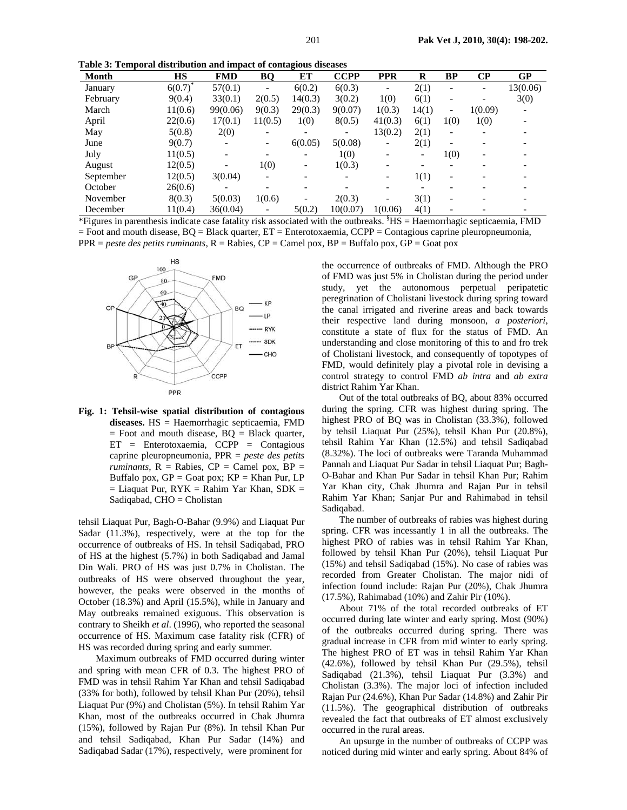**Table 3: Temporal distribution and impact of contagious diseases** 

| Month        | HS                   | FMD                         | BQ                           | ЕT                                      | <b>CCPP</b> | <b>PPR</b>               | R         | BP                       | $\bf CP$                 | <b>GP</b>    |
|--------------|----------------------|-----------------------------|------------------------------|-----------------------------------------|-------------|--------------------------|-----------|--------------------------|--------------------------|--------------|
| January      | $6(0.7)^*$           | 57(0.1)                     | $\qquad \qquad \blacksquare$ | 6(0.2)                                  | 6(0.3)      | $\overline{\phantom{0}}$ | 2(1)      |                          | $\overline{\phantom{0}}$ | 13(0.06)     |
| February     | 9(0.4)               | 33(0.1)                     | 2(0.5)                       | 14(0.3)                                 | 3(0.2)      | 1(0)                     | 6(1)      | $\overline{\phantom{a}}$ |                          | 3(0)         |
| March        | 11(0.6)              | 99(0.06)                    | 9(0.3)                       | 29(0.3)                                 | 9(0.07)     | 1(0.3)                   | 14(1)     | $\overline{\phantom{a}}$ | 1(0.09)                  | -            |
| April        | 22(0.6)              | 17(0.1)                     | 11(0.5)                      | 1(0)                                    | 8(0.5)      | 41(0.3)                  | 6(1)      | 1(0)                     | 1(0)                     |              |
| May          | 5(0.8)               | 2(0)                        | $\overline{\phantom{0}}$     |                                         |             | 13(0.2)                  | 2(1)      | -                        |                          |              |
| June         | 9(0.7)               | -                           | -                            | 6(0.05)                                 | 5(0.08)     | -                        | 2(1)      |                          |                          |              |
| July         | 11(0.5)              | ۰                           |                              |                                         | 1(0)        |                          | -         | 1(0)                     |                          |              |
| August       | 12(0.5)              | -                           | 1(0)                         | $\qquad \qquad \blacksquare$            | 1(0.3)      |                          |           |                          |                          |              |
| September    | 12(0.5)              | 3(0.04)                     | $\overline{\phantom{0}}$     |                                         |             | Ξ.                       | 1(1)      | $\overline{\phantom{a}}$ |                          |              |
| October      | 26(0.6)              | -                           |                              |                                         |             |                          |           |                          |                          |              |
| November     | 8(0.3)               | 5(0.03)                     | 1(0.6)                       |                                         | 2(0.3)      |                          | 3(1)      | ٠                        |                          |              |
| December     | 11(0.4)              | 36(0.04)                    | $\qquad \qquad \blacksquare$ | 5(0.2)                                  | 10(0.07)    | 1(0.06)                  | 4(1)      |                          |                          |              |
| $\mathbf{r}$ | $\cdot$<br>$\cdot$ 1 | $\sim$ $\sim$ $\sim$ $\sim$ | $\cdot$ $\cdot$              | $\cdot$ $\cdot$ $\cdot$ $\cdot$ $\cdot$ | $2.1 - .1$  | 8.77<br>$\mathbf{I}$     | <b>TT</b> |                          |                          | $\mathbf{m}$ |

 $*$ Figures in parenthesis indicate case fatality risk associated with the outbreaks.  $*$ HS = Haemorrhagic septicaemia, FMD  $=$  Foot and mouth disease,  $BQ =$  Black quarter,  $ET =$  Enterotoxaemia,  $CCPP =$  Contagious caprine pleuropneumonia, PPR = *peste des petits ruminants*, R = Rabies, CP = Camel pox, BP = Buffalo pox, GP = Goat pox



**Fig. 1: Tehsil-wise spatial distribution of contagious diseases.** HS = Haemorrhagic septicaemia, FMD  $=$  Foot and mouth disease,  $BQ = Black$  quarter, ET = Enterotoxaemia, CCPP = Contagious caprine pleuropneumonia, PPR = *peste des petits*   $ruminants$ ,  $R = \text{Rabies}$ ,  $CP = \text{Camel}$  pox,  $BP =$ Buffalo pox,  $GP =$ Goat pox;  $KP =$ Khan Pur, LP  $=$  Liaquat Pur, RYK  $=$  Rahim Yar Khan, SDK  $=$ Sadiqabad, CHO = Cholistan

tehsil Liaquat Pur, Bagh-O-Bahar (9.9%) and Liaquat Pur Sadar (11.3%), respectively, were at the top for the occurrence of outbreaks of HS. In tehsil Sadiqabad, PRO of HS at the highest (5.7%) in both Sadiqabad and Jamal Din Wali. PRO of HS was just 0.7% in Cholistan. The outbreaks of HS were observed throughout the year, however, the peaks were observed in the months of October (18.3%) and April (15.5%), while in January and May outbreaks remained exiguous. This observation is contrary to Sheikh *et al*. (1996), who reported the seasonal occurrence of HS. Maximum case fatality risk (CFR) of HS was recorded during spring and early summer.

Maximum outbreaks of FMD occurred during winter and spring with mean CFR of 0.3. The highest PRO of FMD was in tehsil Rahim Yar Khan and tehsil Sadiqabad (33% for both), followed by tehsil Khan Pur (20%), tehsil Liaquat Pur (9%) and Cholistan (5%). In tehsil Rahim Yar Khan, most of the outbreaks occurred in Chak Jhumra (15%), followed by Rajan Pur (8%). In tehsil Khan Pur and tehsil Sadiqabad, Khan Pur Sadar (14%) and Sadiqabad Sadar (17%), respectively, were prominent for

the occurrence of outbreaks of FMD. Although the PRO of FMD was just 5% in Cholistan during the period under study, yet the autonomous perpetual peripatetic peregrination of Cholistani livestock during spring toward the canal irrigated and riverine areas and back towards their respective land during monsoon, *a posteriori*, constitute a state of flux for the status of FMD. An understanding and close monitoring of this to and fro trek of Cholistani livestock, and consequently of topotypes of FMD, would definitely play a pivotal role in devising a control strategy to control FMD *ab intra* and *ab extra* district Rahim Yar Khan.

Out of the total outbreaks of BQ, about 83% occurred during the spring. CFR was highest during spring. The highest PRO of BQ was in Cholistan (33.3%), followed by tehsil Liaquat Pur (25%), tehsil Khan Pur (20.8%), tehsil Rahim Yar Khan (12.5%) and tehsil Sadiqabad (8.32%). The loci of outbreaks were Taranda Muhammad Pannah and Liaquat Pur Sadar in tehsil Liaquat Pur; Bagh-O-Bahar and Khan Pur Sadar in tehsil Khan Pur; Rahim Yar Khan city, Chak Jhumra and Rajan Pur in tehsil Rahim Yar Khan; Sanjar Pur and Rahimabad in tehsil Sadiqabad.

The number of outbreaks of rabies was highest during spring. CFR was incessantly 1 in all the outbreaks. The highest PRO of rabies was in tehsil Rahim Yar Khan, followed by tehsil Khan Pur (20%), tehsil Liaquat Pur (15%) and tehsil Sadiqabad (15%). No case of rabies was recorded from Greater Cholistan. The major nidi of infection found include: Rajan Pur (20%), Chak Jhumra (17.5%), Rahimabad (10%) and Zahir Pir (10%).

About 71% of the total recorded outbreaks of ET occurred during late winter and early spring. Most (90%) of the outbreaks occurred during spring. There was gradual increase in CFR from mid winter to early spring. The highest PRO of ET was in tehsil Rahim Yar Khan (42.6%), followed by tehsil Khan Pur (29.5%), tehsil Sadiqabad (21.3%), tehsil Liaquat Pur (3.3%) and Cholistan (3.3%). The major loci of infection included Rajan Pur (24.6%), Khan Pur Sadar (14.8%) and Zahir Pir (11.5%). The geographical distribution of outbreaks revealed the fact that outbreaks of ET almost exclusively occurred in the rural areas.

An upsurge in the number of outbreaks of CCPP was noticed during mid winter and early spring. About 84% of